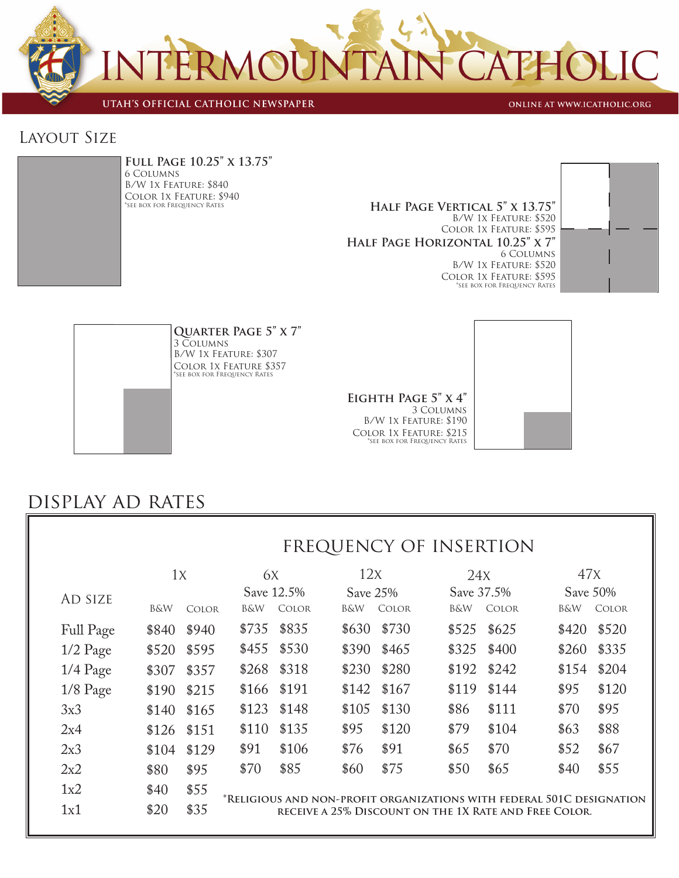

UTAH'S OFFICIAL CATHOLIC NEWSPAPER

ONLINE AT WWW.ICATHOLIC.ORG

### Layout Size



**Full Page 10.25" x 13.75"** 6 Columns B/W 1x Feature: \$840 COLOR 1X FEATURE: \$940<br>\*SEE BOX FOR FREQUENCY RATES

HALF PAGE VERTICAL 5" X 13.75" B/W 1x Feature: \$520 Color 1x Feature: \$595 **Half Page Horizontal 10.25" x 7"** 6 Columns B/W 1x Feature: \$520 Color 1x Feature: \$595 \*see box for Frequency Rates





**Quarter Page 5" x 7"** 3 Columns B/W 1x Feature: \$307 Color 1x Feature \$357 \*see box for Frequency Rates

#### **Eighth Page 5" x 4"** 3 Columns B/W 1x Feature: \$190 Color 1x Feature: \$215 \*see box for Frequency Rates



## display ad rates

## frequency of insertion

|            | 1x             |              | 6X                                                                                                                             |       |       | 12x          |       | 24X          |                | 47X          |  |
|------------|----------------|--------------|--------------------------------------------------------------------------------------------------------------------------------|-------|-------|--------------|-------|--------------|----------------|--------------|--|
| AD SIZE    |                |              | Save 12.5%                                                                                                                     |       |       | Save 25%     |       | Save 37.5%   |                | Save 50%     |  |
|            | <b>B&amp;W</b> | <b>COLOR</b> | B&W                                                                                                                            | COLOR | B&W   | <b>COLOR</b> | B&W   | <b>COLOR</b> | <b>B&amp;W</b> | <b>COLOR</b> |  |
| Full Page  | \$840          | \$940        | \$735                                                                                                                          | \$835 | \$630 | \$730        | \$525 | \$625        | \$420          | \$520        |  |
| $1/2$ Page | \$520          | \$595        | \$455                                                                                                                          | \$530 | \$390 | \$465        | \$325 | \$400        | \$260          | \$335        |  |
| $1/4$ Page | \$307          | \$357        | \$268                                                                                                                          | \$318 | \$230 | \$280        | \$192 | \$242        | \$154          | \$204        |  |
| $1/8$ Page | \$190          | \$215        | \$166                                                                                                                          | \$191 | \$142 | \$167        | \$119 | \$144        | \$95           | \$120        |  |
| 3x3        | \$140          | \$165        | \$123                                                                                                                          | \$148 | \$105 | \$130        | \$86  | \$111        | \$70           | \$95         |  |
| 2x4        | \$126          | \$151        | \$110                                                                                                                          | \$135 | \$95  | \$120        | \$79  | \$104        | \$63           | \$88         |  |
| 2x3        | \$104          | \$129        | \$91                                                                                                                           | \$106 | \$76  | \$91         | \$65  | \$70         | \$52           | \$67         |  |
| 2x2        | \$80           | \$95         | \$70                                                                                                                           | \$85  | \$60  | \$75         | \$50  | \$65         | \$40           | \$55         |  |
| 1x2        | \$40           | \$55         |                                                                                                                                |       |       |              |       |              |                |              |  |
| 1x1        | \$20           | \$35         | *Religious and non-profit organizations with federal 501C designation<br>RECEIVE A 25% DISCOUNT ON THE 1X RATE AND FREE COLOR. |       |       |              |       |              |                |              |  |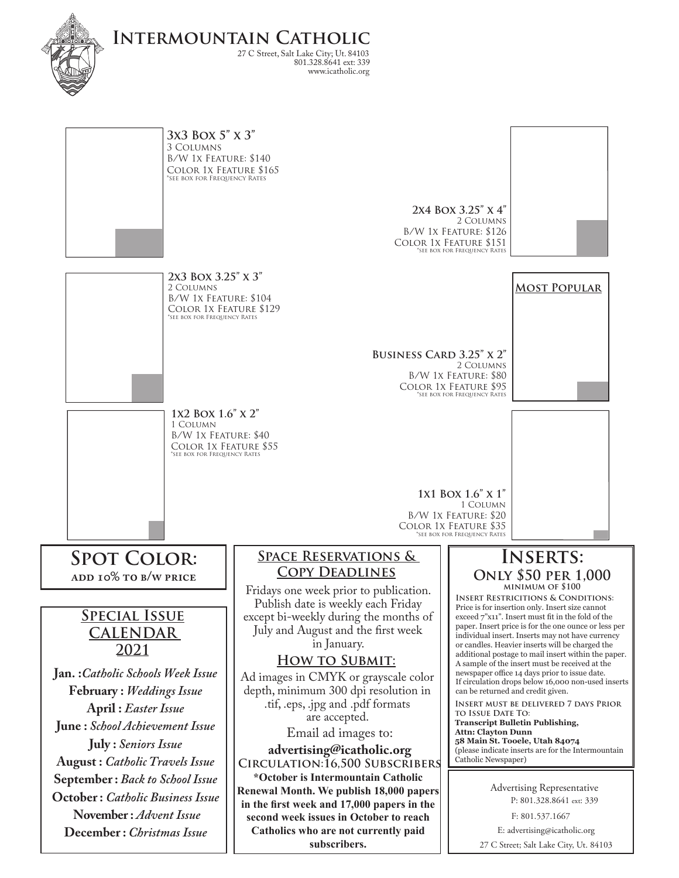

**Intermountain Catholic** 27 C Street, Salt Lake City; Ut. 84103 www.icatholic.org 801.328.8641 ext: 339